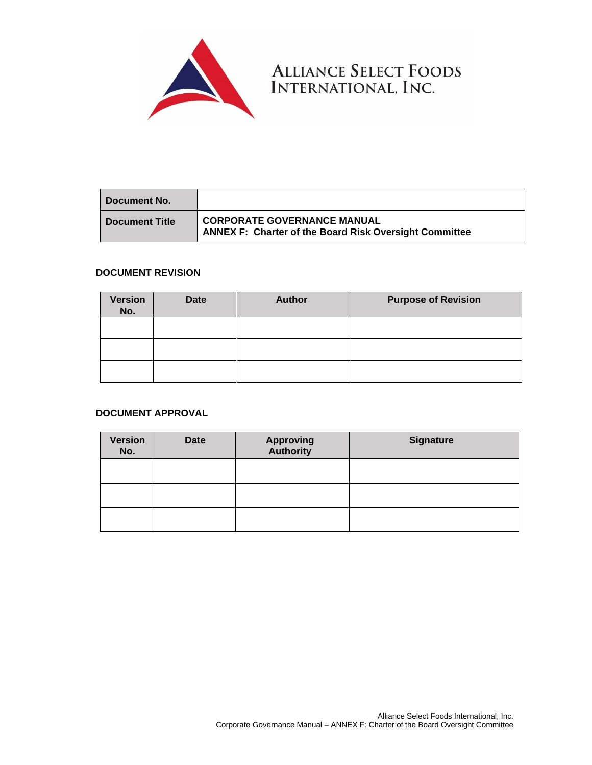

**Document No. Document Title CORPORATE GOVERNANCE MANUAL ANNEX F: Charter of the Board Risk Oversight Committee**

ALLIANCE SELECT FOODS<br>INTERNATIONAL, INC.

# **DOCUMENT REVISION**

| <b>Version</b><br>No. | <b>Date</b> | <b>Author</b> | <b>Purpose of Revision</b> |
|-----------------------|-------------|---------------|----------------------------|
|                       |             |               |                            |
|                       |             |               |                            |
|                       |             |               |                            |

# **DOCUMENT APPROVAL**

| <b>Version</b><br>No. | <b>Date</b> | <b>Approving</b><br><b>Authority</b> | <b>Signature</b> |
|-----------------------|-------------|--------------------------------------|------------------|
|                       |             |                                      |                  |
|                       |             |                                      |                  |
|                       |             |                                      |                  |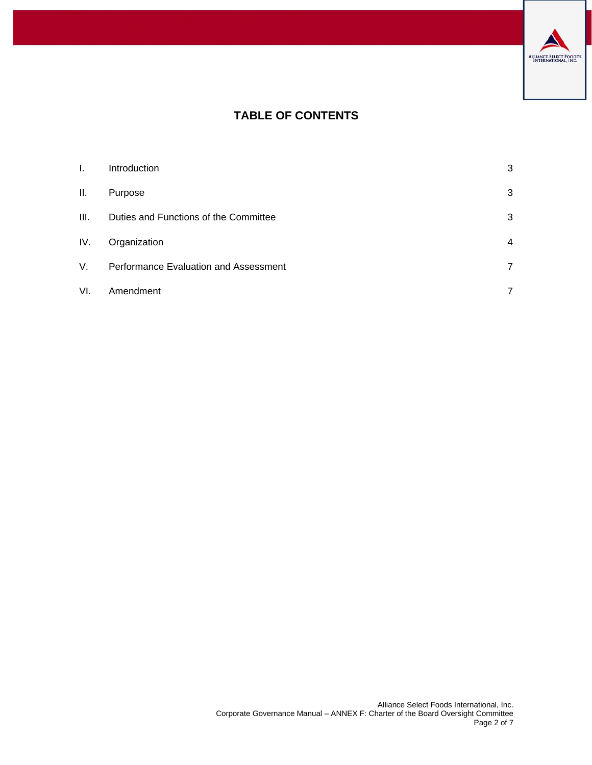

# **TABLE OF CONTENTS**

| I.   | Introduction                          | 3 |
|------|---------------------------------------|---|
| ΙΙ.  | Purpose                               | 3 |
| III. | Duties and Functions of the Committee | 3 |
| IV.  | Organization                          | 4 |
| V.   | Performance Evaluation and Assessment |   |
| VI.  | Amendment                             |   |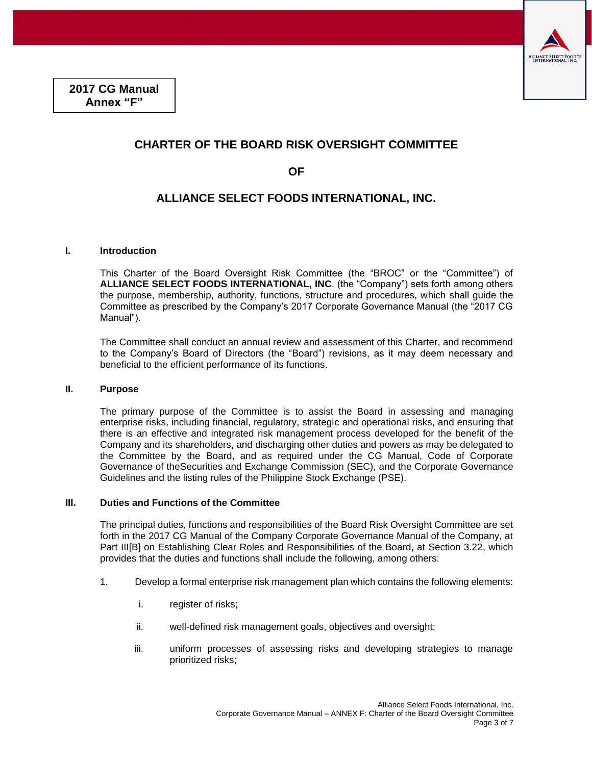

# **CHARTER OF THE BOARD RISK OVERSIGHT COMMITTEE**

**OF** 

# **ALLIANCE SELECT FOODS INTERNATIONAL, INC.**

# <span id="page-2-0"></span>**I. Introduction**

This Charter of the Board Oversight Risk Committee (the "BROC" or the "Committee") of **ALLIANCE SELECT FOODS INTERNATIONAL, INC**. (the "Company") sets forth among others the purpose, membership, authority, functions, structure and procedures, which shall guide the Committee as prescribed by the Company's 2017 Corporate Governance Manual (the "2017 CG Manual").

The Committee shall conduct an annual review and assessment of this Charter, and recommend to the Company's Board of Directors (the "Board") revisions, as it may deem necessary and beneficial to the efficient performance of its functions.

#### <span id="page-2-1"></span>**II. Purpose**

The primary purpose of the Committee is to assist the Board in assessing and managing enterprise risks, including financial, regulatory, strategic and operational risks, and ensuring that there is an effective and integrated risk management process developed for the benefit of the Company and its shareholders, and discharging other duties and powers as may be delegated to the Committee by the Board, and as required under the CG Manual, Code of Corporate Governance of theSecurities and Exchange Commission (SEC), and the Corporate Governance Guidelines and the listing rules of the Philippine Stock Exchange (PSE).

# <span id="page-2-2"></span>**III. Duties and Functions of the Committee**

The principal duties, functions and responsibilities of the Board Risk Oversight Committee are set forth in the 2017 CG Manual of the Company Corporate Governance Manual of the Company, at Part III[B] on Establishing Clear Roles and Responsibilities of the Board, at Section 3.22, which provides that the duties and functions shall include the following, among others:

- 1. Develop a formal enterprise risk management plan which contains the following elements:
	- i. register of risks;
	- ii. well-defined risk management goals, objectives and oversight;
	- iii. uniform processes of assessing risks and developing strategies to manage prioritized risks;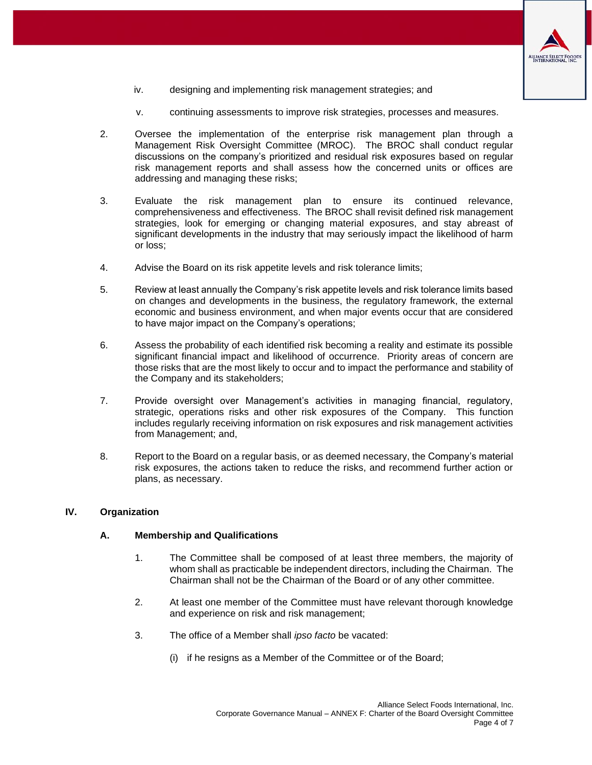

- iv. designing and implementing risk management strategies; and
- v. continuing assessments to improve risk strategies, processes and measures.
- 2. Oversee the implementation of the enterprise risk management plan through a Management Risk Oversight Committee (MROC). The BROC shall conduct regular discussions on the company's prioritized and residual risk exposures based on regular risk management reports and shall assess how the concerned units or offices are addressing and managing these risks;
- 3. Evaluate the risk management plan to ensure its continued relevance, comprehensiveness and effectiveness. The BROC shall revisit defined risk management strategies, look for emerging or changing material exposures, and stay abreast of significant developments in the industry that may seriously impact the likelihood of harm or loss;
- 4. Advise the Board on its risk appetite levels and risk tolerance limits;
- 5. Review at least annually the Company's risk appetite levels and risk tolerance limits based on changes and developments in the business, the regulatory framework, the external economic and business environment, and when major events occur that are considered to have major impact on the Company's operations;
- 6. Assess the probability of each identified risk becoming a reality and estimate its possible significant financial impact and likelihood of occurrence. Priority areas of concern are those risks that are the most likely to occur and to impact the performance and stability of the Company and its stakeholders;
- 7. Provide oversight over Management's activities in managing financial, regulatory, strategic, operations risks and other risk exposures of the Company. This function includes regularly receiving information on risk exposures and risk management activities from Management; and,
- 8. Report to the Board on a regular basis, or as deemed necessary, the Company's material risk exposures, the actions taken to reduce the risks, and recommend further action or plans, as necessary.

#### <span id="page-3-0"></span>**IV. Organization**

#### **A. Membership and Qualifications**

- 1. The Committee shall be composed of at least three members, the majority of whom shall as practicable be independent directors, including the Chairman. The Chairman shall not be the Chairman of the Board or of any other committee.
- 2. At least one member of the Committee must have relevant thorough knowledge and experience on risk and risk management;
- 3. The office of a Member shall *ipso facto* be vacated:
	- (i) if he resigns as a Member of the Committee or of the Board;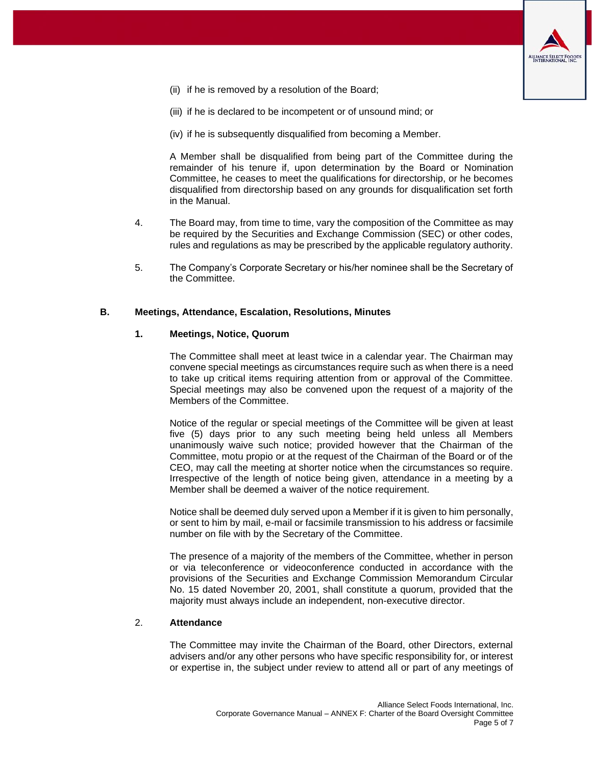

- (ii) if he is removed by a resolution of the Board;
- (iii) if he is declared to be incompetent or of unsound mind; or
- (iv) if he is subsequently disqualified from becoming a Member.

A Member shall be disqualified from being part of the Committee during the remainder of his tenure if, upon determination by the Board or Nomination Committee, he ceases to meet the qualifications for directorship, or he becomes disqualified from directorship based on any grounds for disqualification set forth in the Manual.

- 4. The Board may, from time to time, vary the composition of the Committee as may be required by the Securities and Exchange Commission (SEC) or other codes, rules and regulations as may be prescribed by the applicable regulatory authority.
- 5. The Company's Corporate Secretary or his/her nominee shall be the Secretary of the Committee.

#### **B. Meetings, Attendance, Escalation, Resolutions, Minutes**

#### **1. Meetings, Notice, Quorum**

The Committee shall meet at least twice in a calendar year. The Chairman may convene special meetings as circumstances require such as when there is a need to take up critical items requiring attention from or approval of the Committee. Special meetings may also be convened upon the request of a majority of the Members of the Committee.

Notice of the regular or special meetings of the Committee will be given at least five (5) days prior to any such meeting being held unless all Members unanimously waive such notice; provided however that the Chairman of the Committee, motu propio or at the request of the Chairman of the Board or of the CEO, may call the meeting at shorter notice when the circumstances so require. Irrespective of the length of notice being given, attendance in a meeting by a Member shall be deemed a waiver of the notice requirement.

Notice shall be deemed duly served upon a Member if it is given to him personally, or sent to him by mail, e-mail or facsimile transmission to his address or facsimile number on file with by the Secretary of the Committee.

The presence of a majority of the members of the Committee, whether in person or via teleconference or videoconference conducted in accordance with the provisions of the Securities and Exchange Commission Memorandum Circular No. 15 dated November 20, 2001, shall constitute a quorum, provided that the majority must always include an independent, non-executive director.

#### 2. **Attendance**

The Committee may invite the Chairman of the Board, other Directors, external advisers and/or any other persons who have specific responsibility for, or interest or expertise in, the subject under review to attend all or part of any meetings of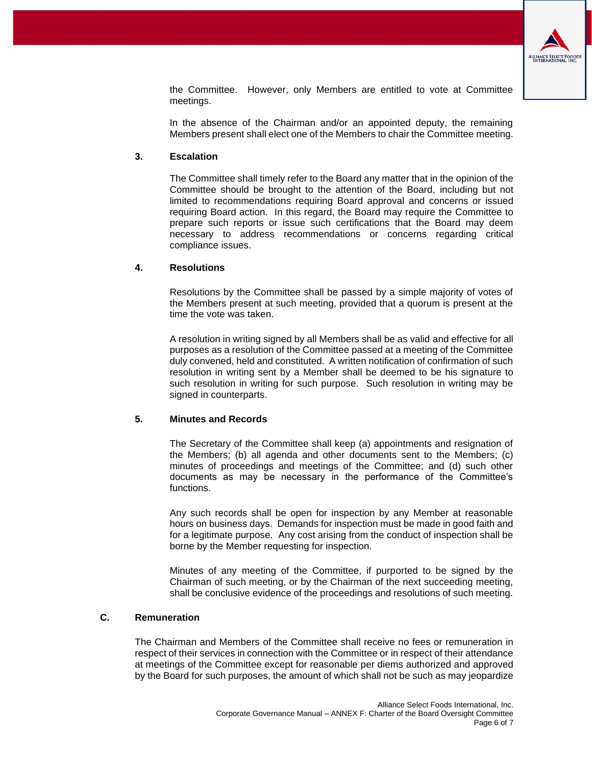

the Committee. However, only Members are entitled to vote at Committee meetings.

In the absence of the Chairman and/or an appointed deputy, the remaining Members present shall elect one of the Members to chair the Committee meeting.

#### **3. Escalation**

The Committee shall timely refer to the Board any matter that in the opinion of the Committee should be brought to the attention of the Board, including but not limited to recommendations requiring Board approval and concerns or issued requiring Board action. In this regard, the Board may require the Committee to prepare such reports or issue such certifications that the Board may deem necessary to address recommendations or concerns regarding critical compliance issues.

#### **4. Resolutions**

Resolutions by the Committee shall be passed by a simple majority of votes of the Members present at such meeting, provided that a quorum is present at the time the vote was taken.

A resolution in writing signed by all Members shall be as valid and effective for all purposes as a resolution of the Committee passed at a meeting of the Committee duly convened, held and constituted. A written notification of confirmation of such resolution in writing sent by a Member shall be deemed to be his signature to such resolution in writing for such purpose. Such resolution in writing may be signed in counterparts.

# **5. Minutes and Records**

The Secretary of the Committee shall keep (a) appointments and resignation of the Members; (b) all agenda and other documents sent to the Members; (c) minutes of proceedings and meetings of the Committee; and (d) such other documents as may be necessary in the performance of the Committee's functions.

Any such records shall be open for inspection by any Member at reasonable hours on business days. Demands for inspection must be made in good faith and for a legitimate purpose. Any cost arising from the conduct of inspection shall be borne by the Member requesting for inspection.

Minutes of any meeting of the Committee, if purported to be signed by the Chairman of such meeting, or by the Chairman of the next succeeding meeting, shall be conclusive evidence of the proceedings and resolutions of such meeting.

# **C. Remuneration**

The Chairman and Members of the Committee shall receive no fees or remuneration in respect of their services in connection with the Committee or in respect of their attendance at meetings of the Committee except for reasonable per diems authorized and approved by the Board for such purposes, the amount of which shall not be such as may jeopardize